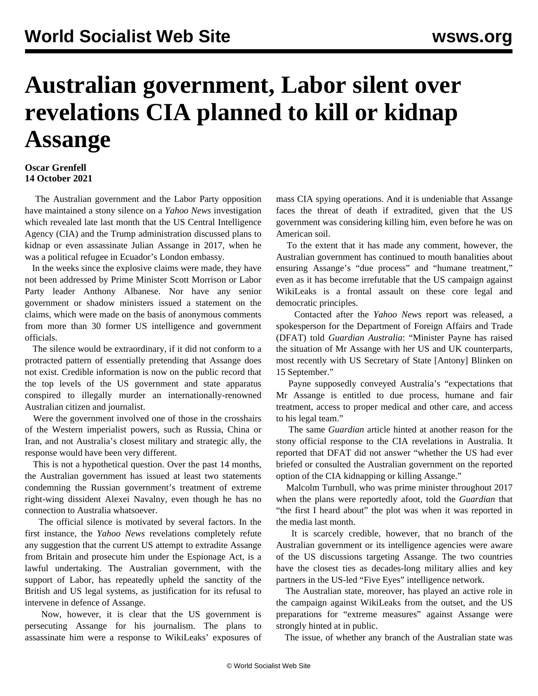## **Australian government, Labor silent over revelations CIA planned to kill or kidnap Assange**

## **Oscar Grenfell 14 October 2021**

 The Australian government and the Labor Party opposition have maintained a stony silence on a *Yahoo News* investigation which revealed late last month that the US Central Intelligence Agency (CIA) and the Trump administration discussed plans to kidnap or even assassinate Julian Assange in 2017, when he was a political refugee in Ecuador's London embassy.

 In the weeks since the explosive claims were made, they have not been addressed by Prime Minister Scott Morrison or Labor Party leader Anthony Albanese. Nor have any senior government or shadow ministers issued a statement on the claims, which were made on the basis of anonymous comments from more than 30 former US intelligence and government officials.

 The silence would be extraordinary, if it did not conform to a protracted pattern of essentially pretending that Assange does not exist. Credible information is now on the public record that the top levels of the US government and state apparatus conspired to illegally murder an internationally-renowned Australian citizen and journalist.

 Were the government involved one of those in the crosshairs of the Western imperialist powers, such as Russia, China or Iran, and not Australia's closest military and strategic ally, the response would have been very different.

 This is not a hypothetical question. Over the past 14 months, the Australian government has issued at least two statements condemning the Russian government's treatment of extreme right-wing dissident Alexei Navalny, even though he has no connection to Australia whatsoever.

 The official silence is motivated by several factors. In the first instance, the *Yahoo News* revelations completely refute any suggestion that the current US attempt to extradite Assange from Britain and prosecute him under the Espionage Act, is a lawful undertaking. The Australian government, with the support of Labor, has repeatedly upheld the sanctity of the British and US legal systems, as justification for its refusal to intervene in defence of Assange.

 Now, however, it is clear that the US government is persecuting Assange for his journalism. The plans to assassinate him were a response to WikiLeaks' exposures of mass CIA spying operations. And it is undeniable that Assange faces the threat of death if extradited, given that the US government was considering killing him, even before he was on American soil.

 To the extent that it has made any comment, however, the Australian government has continued to mouth banalities about ensuring Assange's "due process" and "humane treatment," even as it has become irrefutable that the US campaign against WikiLeaks is a frontal assault on these core legal and democratic principles.

 Contacted after the *Yahoo News* report was released, a spokesperson for the Department of Foreign Affairs and Trade (DFAT) told *Guardian Australia*: "Minister Payne has raised the situation of Mr Assange with her US and UK counterparts, most recently with US Secretary of State [Antony] Blinken on 15 September."

 Payne supposedly conveyed Australia's "expectations that Mr Assange is entitled to due process, humane and fair treatment, access to proper medical and other care, and access to his legal team."

 The same *Guardian* article hinted at another reason for the stony official response to the CIA revelations in Australia. It reported that DFAT did not answer "whether the US had ever briefed or consulted the Australian government on the reported option of the CIA kidnapping or killing Assange."

 Malcolm Turnbull, who was prime minister throughout 2017 when the plans were reportedly afoot, told the *Guardian* that "the first I heard about" the plot was when it was reported in the media last month.

 It is scarcely credible, however, that no branch of the Australian government or its intelligence agencies were aware of the US discussions targeting Assange. The two countries have the closest ties as decades-long military allies and key partners in the US-led "Five Eyes" intelligence network.

 The Australian state, moreover, has played an active role in the campaign against WikiLeaks from the outset, and the US preparations for "extreme measures" against Assange were strongly hinted at in public.

The issue, of whether any branch of the Australian state was